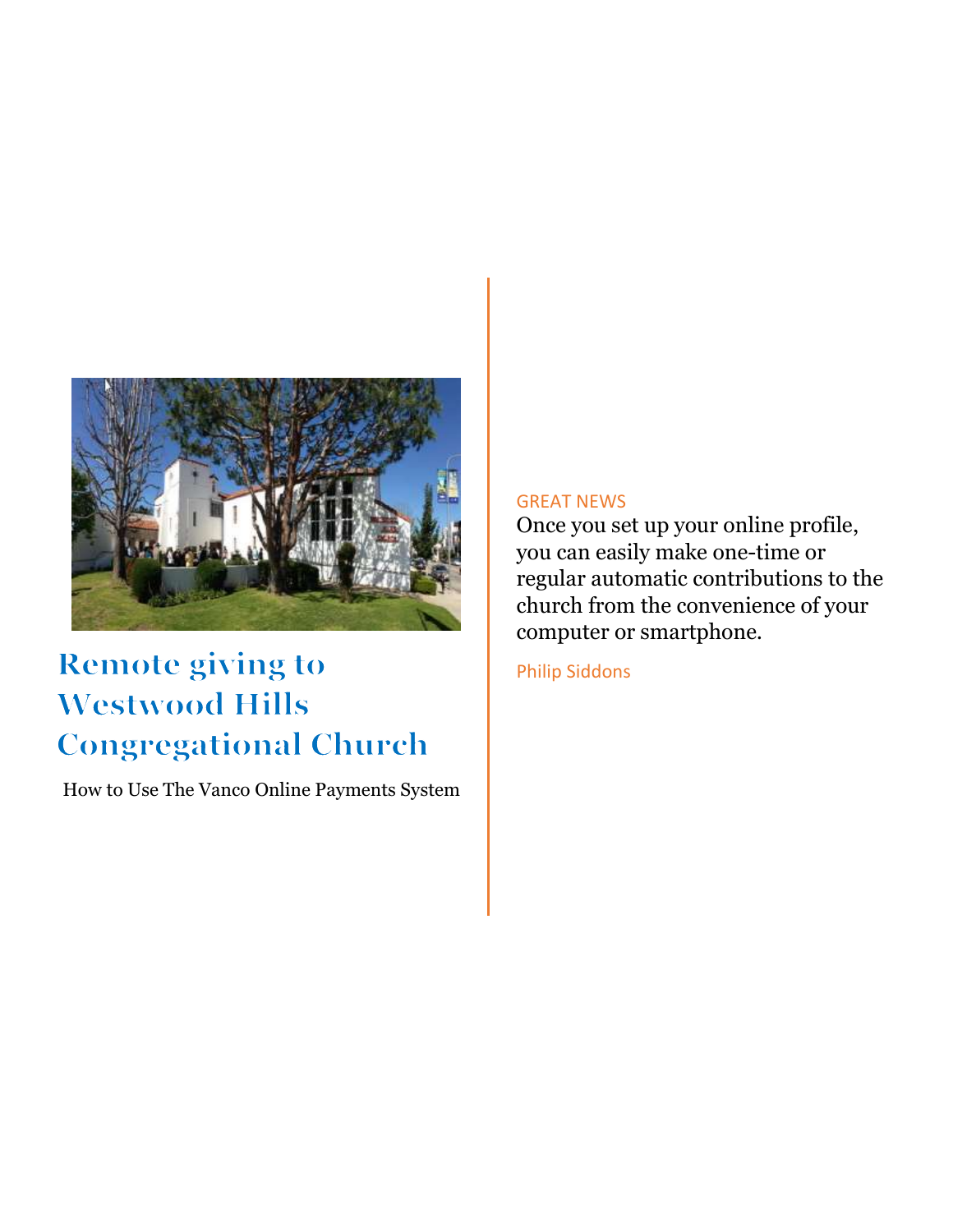

#### **Remote giving to Westwood Hills Congregational Church**

How to Use The Vanco Online Payments System

#### GREAT NEWS

Once you set up your online profile, you can easily make one-time or regular automatic contributions to the church from the convenience of your computer or smartphone.

Philip Siddons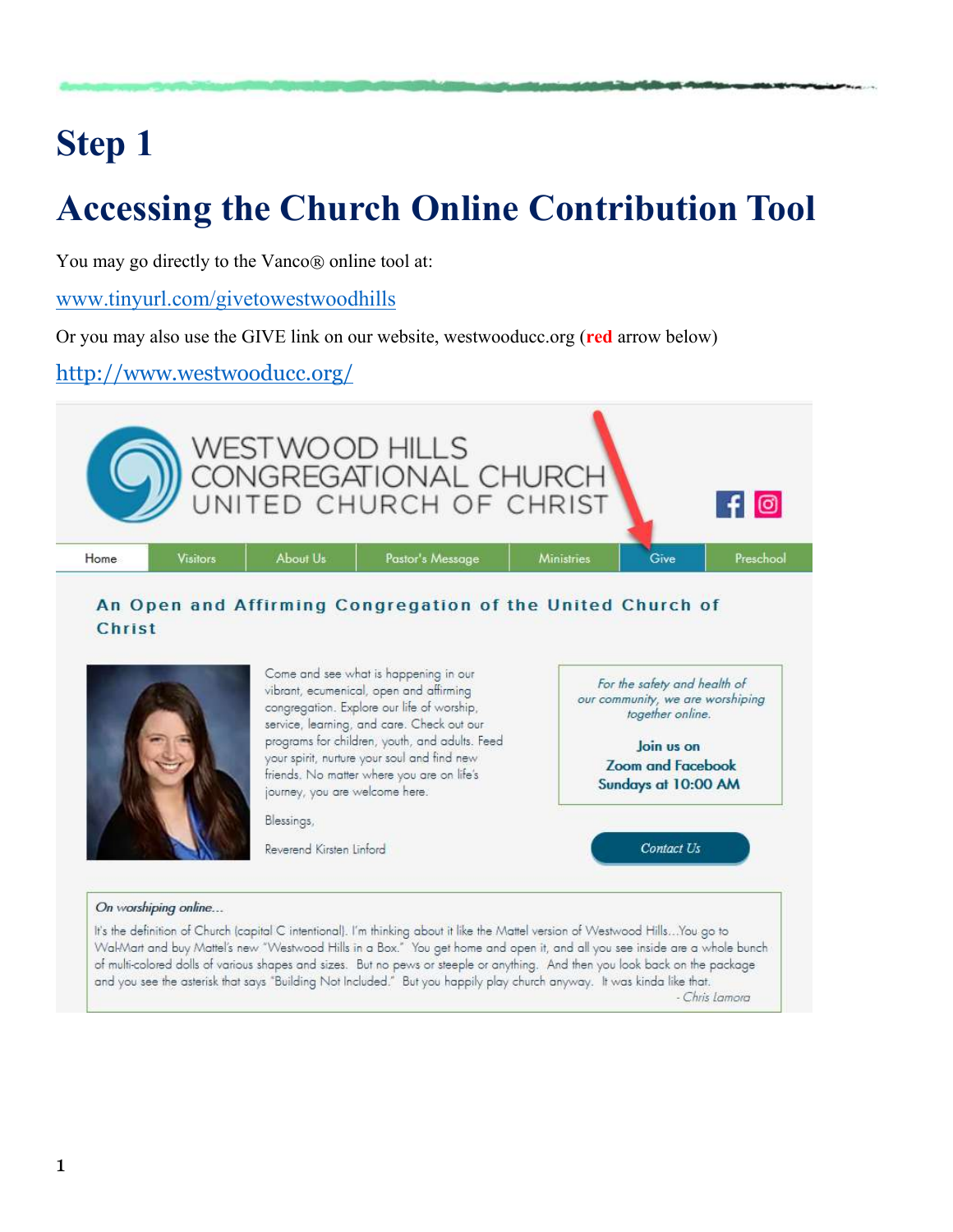# **Step 1**

# **Accessing the Church Online Contribution Tool**

You may go directly to the Vanco® online tool at:

[www.tinyurl.com/givetowestwoodhills](http://www.tinyurl.com/givetowestwoodhills)

Or you may also use the GIVE link on our website, westwooducc.org (**red** arrow below)

<http://www.westwooducc.org/>



- Chris Lamora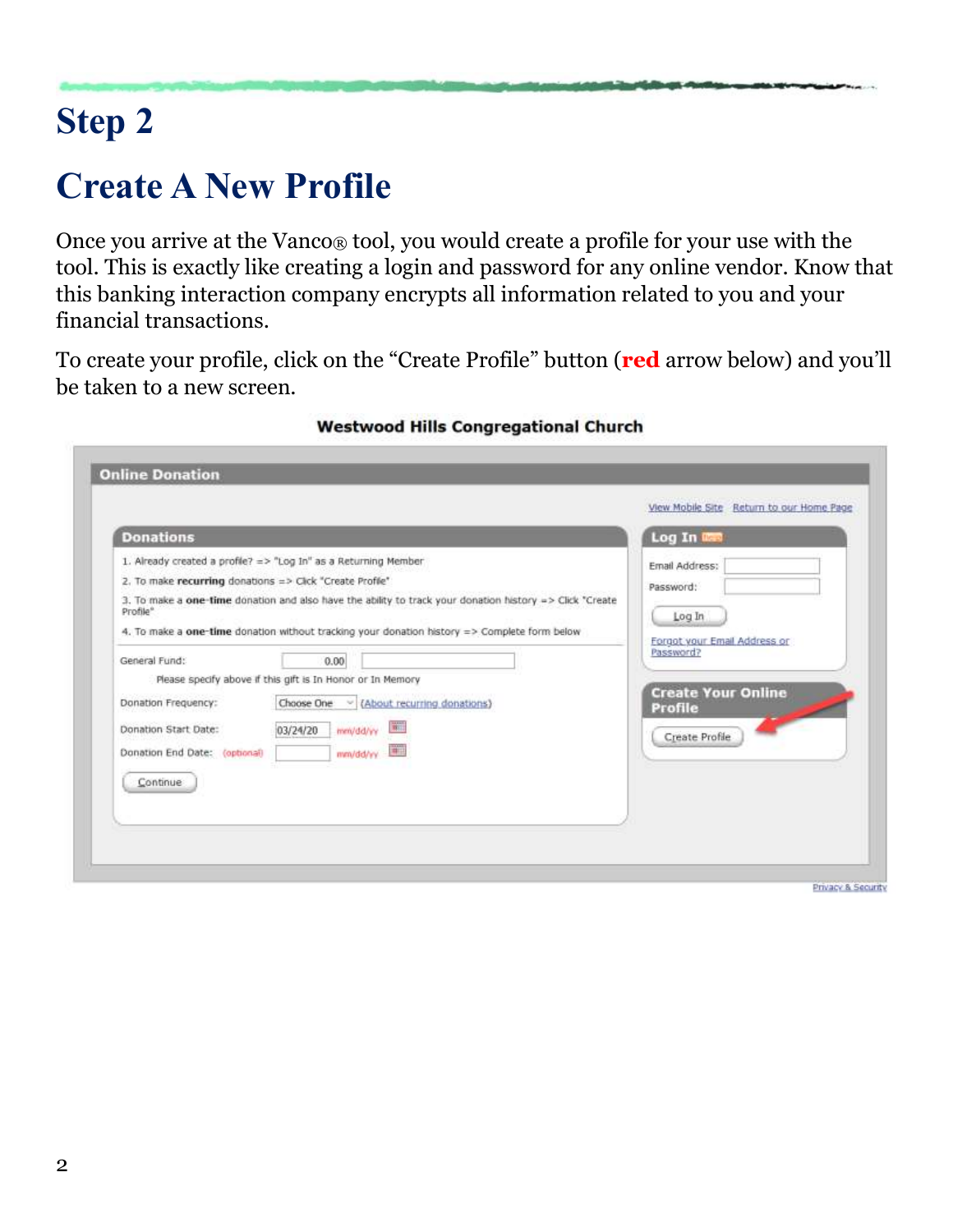# **Step 2**

### **Create A New Profile**

Once you arrive at the Vanco® tool, you would create a profile for your use with the tool. This is exactly like creating a login and password for any online vendor. Know that this banking interaction company encrypts all information related to you and your financial transactions.

To create your profile, click on the "Create Profile" button (**red** arrow below) and you'll be taken to a new screen.

| <b>Donations</b>                                                                                                                                                                                                                                    |                                                                                                          | Log In ITE                                                            |
|-----------------------------------------------------------------------------------------------------------------------------------------------------------------------------------------------------------------------------------------------------|----------------------------------------------------------------------------------------------------------|-----------------------------------------------------------------------|
| 1. Already created a profile? => "Log In" as a Returning Member<br>2. To make recurring donations => Click "Create Profile"<br>Profile <sup>®</sup><br>4. To make a one-time donation without tracking your donation history => Complete form below | 3. To make a one-time donation and also have the ability to track your donation history => Click "Create | Email Address:<br>Password:<br>Log In<br>Forgot your Email Address or |
| General Fund:<br>0.00<br>Please specify above if this gift is In Honor or In Memory<br>Donation Frequency:<br>Donation Start Date:<br>03/24/20<br>Donation End Date: (optional)<br>Continue                                                         | Choose One v (About recurring donations)<br>381.<br>mm/dd/yy<br>1411<br>mm/dd/wy                         | Password?<br><b>Create Your Online</b><br>Profile<br>Create Profile   |

#### **Westwood Hills Congregational Church**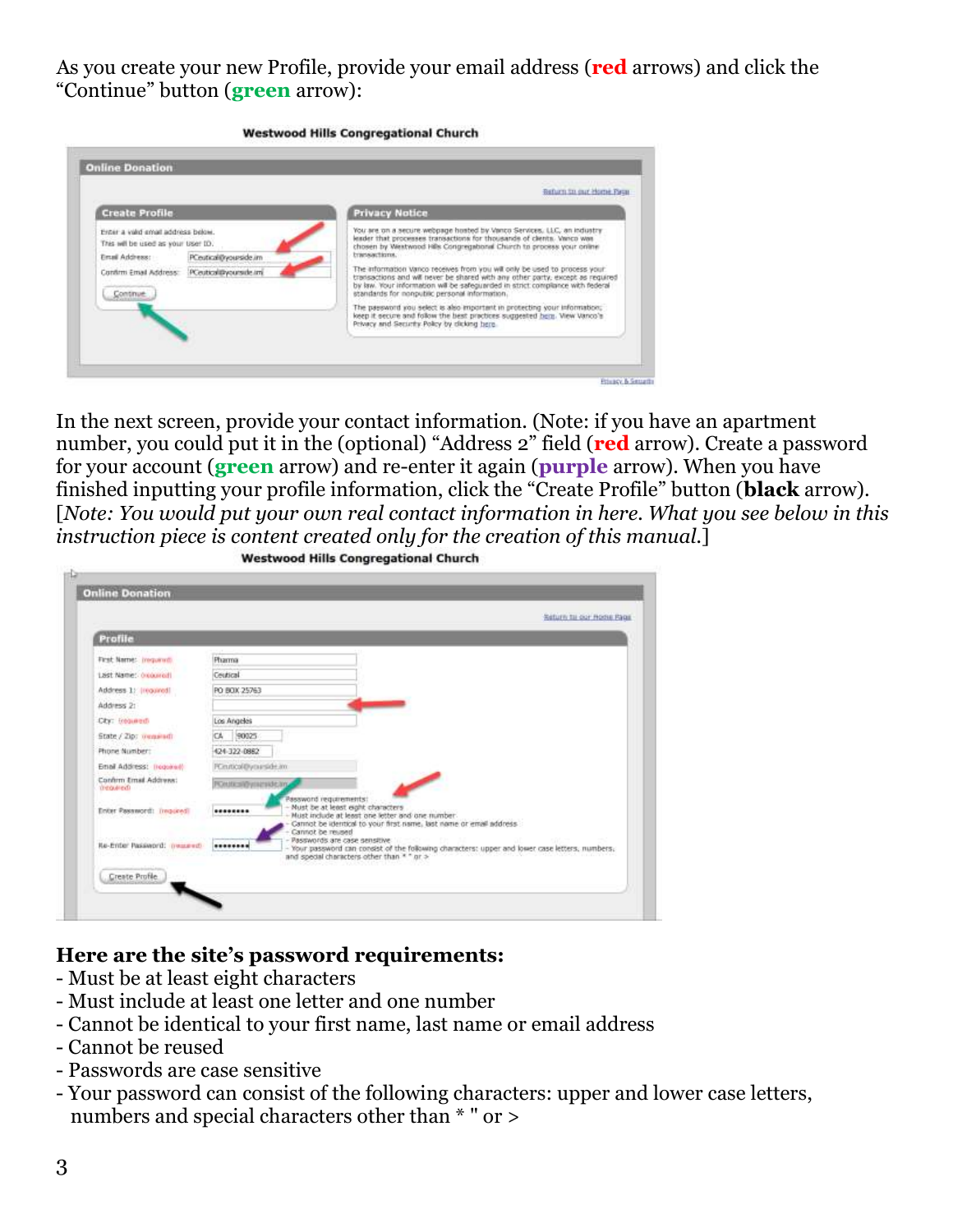As you create your new Profile, provide your email address (**red** arrows) and click the "Continue" button (**green** arrow):

|                                                                                                                                                                                     | Befurn in our Home Paus                                                                                                                                                                                                                                                                                                                                                                                                                                                                                                                                                                                                                                                                                                                                 |
|-------------------------------------------------------------------------------------------------------------------------------------------------------------------------------------|---------------------------------------------------------------------------------------------------------------------------------------------------------------------------------------------------------------------------------------------------------------------------------------------------------------------------------------------------------------------------------------------------------------------------------------------------------------------------------------------------------------------------------------------------------------------------------------------------------------------------------------------------------------------------------------------------------------------------------------------------------|
| <b>Create Profile</b>                                                                                                                                                               | <b>Privacy Notice</b>                                                                                                                                                                                                                                                                                                                                                                                                                                                                                                                                                                                                                                                                                                                                   |
| Erger a valid small address below.<br>This will be used as your User ID.<br>PCeutical@yourside.im<br>Email Address:<br>PCeuticalityconside im<br>Confirm Email Address:<br>Continue | You are on a secure webpage hosted by Vanco Services, LLC, an industry<br>leader that processes transactions for thousands of clients. Vanco was<br>chosen by Westwood Hills Congregational Church to process your online<br>bransactions.<br>The information varico receives from you will only be used to process your<br>transactions and will never be shared with any other party, except as required<br>by law. Your information will be safeguarded in strict compliance with federal<br>standards for nonpublic personal information.<br>The password you select is also important in protecting your information;<br>keep it secure and follow the best proctices suggested here. View Vanco's<br>Privacy and Security Policy by dicking here. |

In the next screen, provide your contact information. (Note: if you have an apartment number, you could put it in the (optional) "Address 2" field (**red** arrow). Create a password for your account (**green** arrow) and re-enter it again (**purple** arrow). When you have finished inputting your profile information, click the "Create Profile" button (**black** arrow). [*Note: You would put your own real contact information in here. What you see below in this instruction piece is content created only for the creation of this manual.*]

|                                    | Seturn to our Home Rage                                                                                                                                                                                                 |
|------------------------------------|-------------------------------------------------------------------------------------------------------------------------------------------------------------------------------------------------------------------------|
| Profile                            |                                                                                                                                                                                                                         |
| First Name: Inequired:             | Pharma                                                                                                                                                                                                                  |
| Last Name: (required)              | Ceutical                                                                                                                                                                                                                |
| Address 1: (required)              | PO BOX 25763                                                                                                                                                                                                            |
| Address 21                         |                                                                                                                                                                                                                         |
| City: insumedi                     | Los Angeles                                                                                                                                                                                                             |
| State / Zip: ownseath              | CA 90025                                                                                                                                                                                                                |
| Phone Number:                      | 424-322-0882                                                                                                                                                                                                            |
| Email Address: Treponetti          | PCm/ticol@ytaaside.am                                                                                                                                                                                                   |
| Confirm Email Address:<br>menuted) | POUR: NEW HIPARATURE                                                                                                                                                                                                    |
| <b>Enter Password: Impired!</b>    | Password requirements:<br>- Must be at least eight characters<br>********<br>Must include at least one letter and one number.<br>Cannot be identical to your first name, last name or email address<br>Cannot be reused |
| Re-Enter Password: (ressered)      | Passwords are case sensitive.<br><br>Your password can consist of the following characters: upper and lower case letters, numbers,<br>and special characters other than * " or >                                        |

**Westwood Hills Congregational Church** 

#### **Here are the site's password requirements:**

- Must be at least eight characters
- Must include at least one letter and one number
- Cannot be identical to your first name, last name or email address
- Cannot be reused
- Passwords are case sensitive
- Your password can consist of the following characters: upper and lower case letters, numbers and special characters other than \* " or >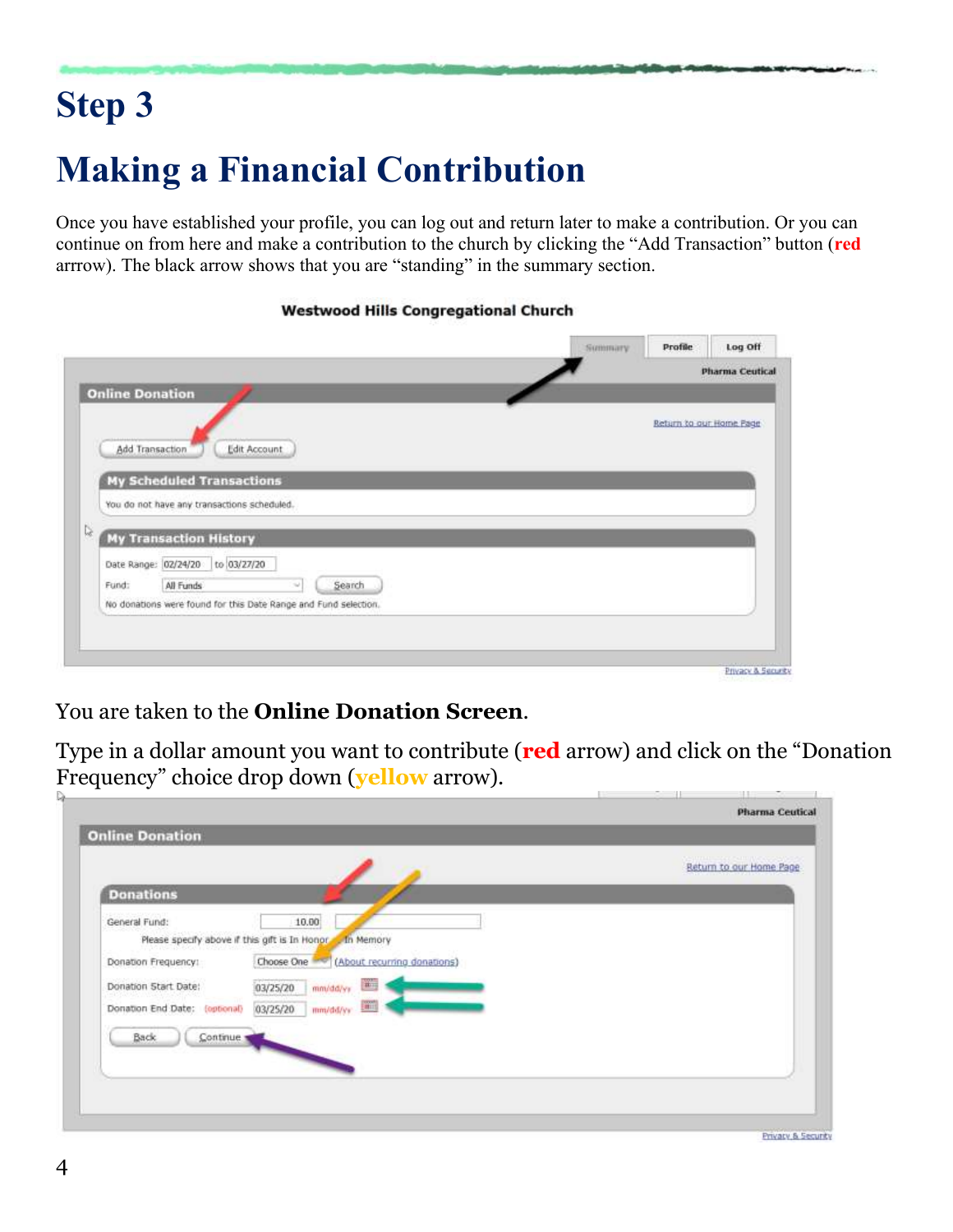# **Step 3**

# **Making a Financial Contribution**

Once you have established your profile, you can log out and return later to make a contribution. Or you can continue on from here and make a contribution to the church by clicking the "Add Transaction" button (**red** arrrow). The black arrow shows that you are "standing" in the summary section.

|                               |                                             |                         | <b>Pharma Ceutical</b> |
|-------------------------------|---------------------------------------------|-------------------------|------------------------|
| <b>Online Donation</b>        | Edit Account<br>Add Transaction             | Return to our Home Page |                        |
|                               | <b>My Scheduled Transactions</b>            |                         |                        |
|                               | You do not have any transactions scheduled. |                         |                        |
|                               | <b>My Transaction History</b>               |                         |                        |
|                               | to 03/27/20                                 |                         |                        |
| Date Range: 02/24/20<br>Fund: | All Funds<br>Search<br>si.                  |                         |                        |

#### **Westwood Hills Congregational Church**

You are taken to the **Online Donation Screen**.

Type in a dollar amount you want to contribute (**red** arrow) and click on the "Donation Frequency" choice drop down (**yellow** arrow). u po

|                                               |                                                                 | Return to our Home Page |
|-----------------------------------------------|-----------------------------------------------------------------|-------------------------|
| <b>Donations</b>                              |                                                                 |                         |
| General Fund:                                 | 10.00                                                           |                         |
| Please specify above if this gift is In Honor | - In Memory                                                     |                         |
| Donation Frequency:                           | Choose One (About recurring donations)                          |                         |
| Donation Start Date:                          | $\frac{1}{\left \mathbf{H}\right _{2}}$<br>03/25/20<br>mm/dd/yy |                         |
| Donation End Date: (optional)                 | <b>The</b><br>03/25/20<br>mm/dd/yy                              |                         |
| Back                                          |                                                                 |                         |
| Continue                                      |                                                                 |                         |
|                                               |                                                                 |                         |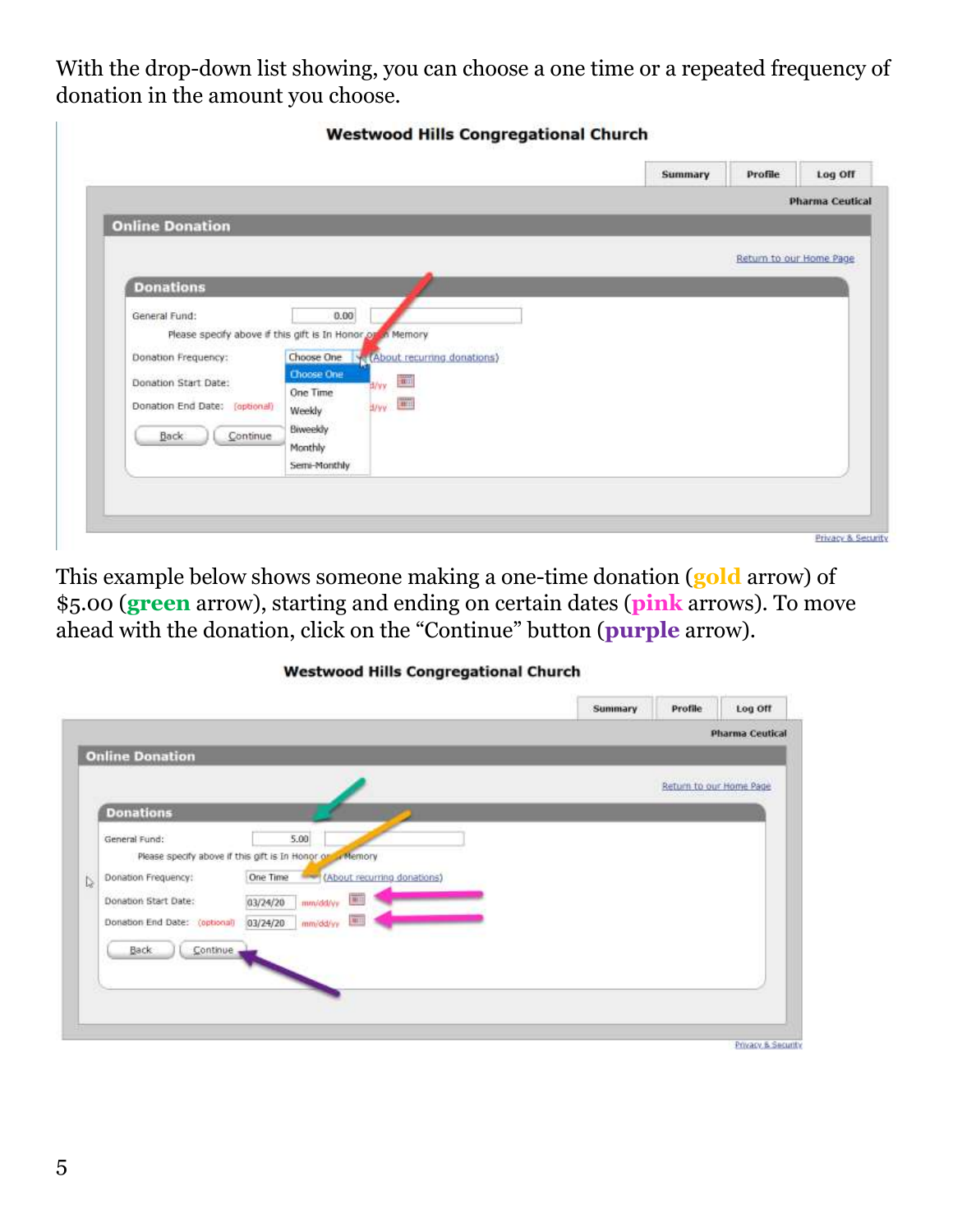With the drop-down list showing, you can choose a one time or a repeated frequency of donation in the amount you choose.

|                                                                                                                          |                                                                                                                                                                                                                                | Summary | Profile                 | Log Off                |
|--------------------------------------------------------------------------------------------------------------------------|--------------------------------------------------------------------------------------------------------------------------------------------------------------------------------------------------------------------------------|---------|-------------------------|------------------------|
|                                                                                                                          |                                                                                                                                                                                                                                |         |                         | <b>Pharma Ceutical</b> |
| <b>Online Donation</b>                                                                                                   |                                                                                                                                                                                                                                |         |                         |                        |
|                                                                                                                          |                                                                                                                                                                                                                                |         | Return to our Home Page |                        |
| <b>Donations</b>                                                                                                         |                                                                                                                                                                                                                                |         |                         |                        |
| General Fund:<br>Donation Frequency:<br>Donation Start Date:<br>Donation End Date: (optional)<br>Continue<br><b>Back</b> | 0.00<br>Please specify above if this gift is In Honor or on Memory<br>Y: (About recurring donations)<br>Choose One<br>Choose One<br>m<br>d/wy<br>One Time<br>d/yy <b>Time</b><br>Weekly<br>Biweekly<br>Monthly<br>Semi-Monthly |         |                         |                        |

This example below shows someone making a one-time donation (**gold** arrow) of \$5.00 (**green** arrow), starting and ending on certain dates (**pink** arrows). To move ahead with the donation, click on the "Continue" button (**purple** arrow).

#### **Westwood Hills Congregational Church**

|                                                                                                                          |                                                                                                                                                                                              | Return to our Home Page |  |
|--------------------------------------------------------------------------------------------------------------------------|----------------------------------------------------------------------------------------------------------------------------------------------------------------------------------------------|-------------------------|--|
| <b>Donations</b>                                                                                                         |                                                                                                                                                                                              |                         |  |
| General Fund:<br>İ.<br>Donation Frequency:<br>Donation Start Date:<br>Donation End Date: (optional)<br>Back:<br>Continue | 5.00<br>Please specify above if this gift is In Honor or a Memory<br>One Time<br>(About recurring donations)<br>$\overline{w}$<br>03/24/20<br>mm/dd/vv<br><b>ALL</b><br>03/24/20<br>mm/dd/yy |                         |  |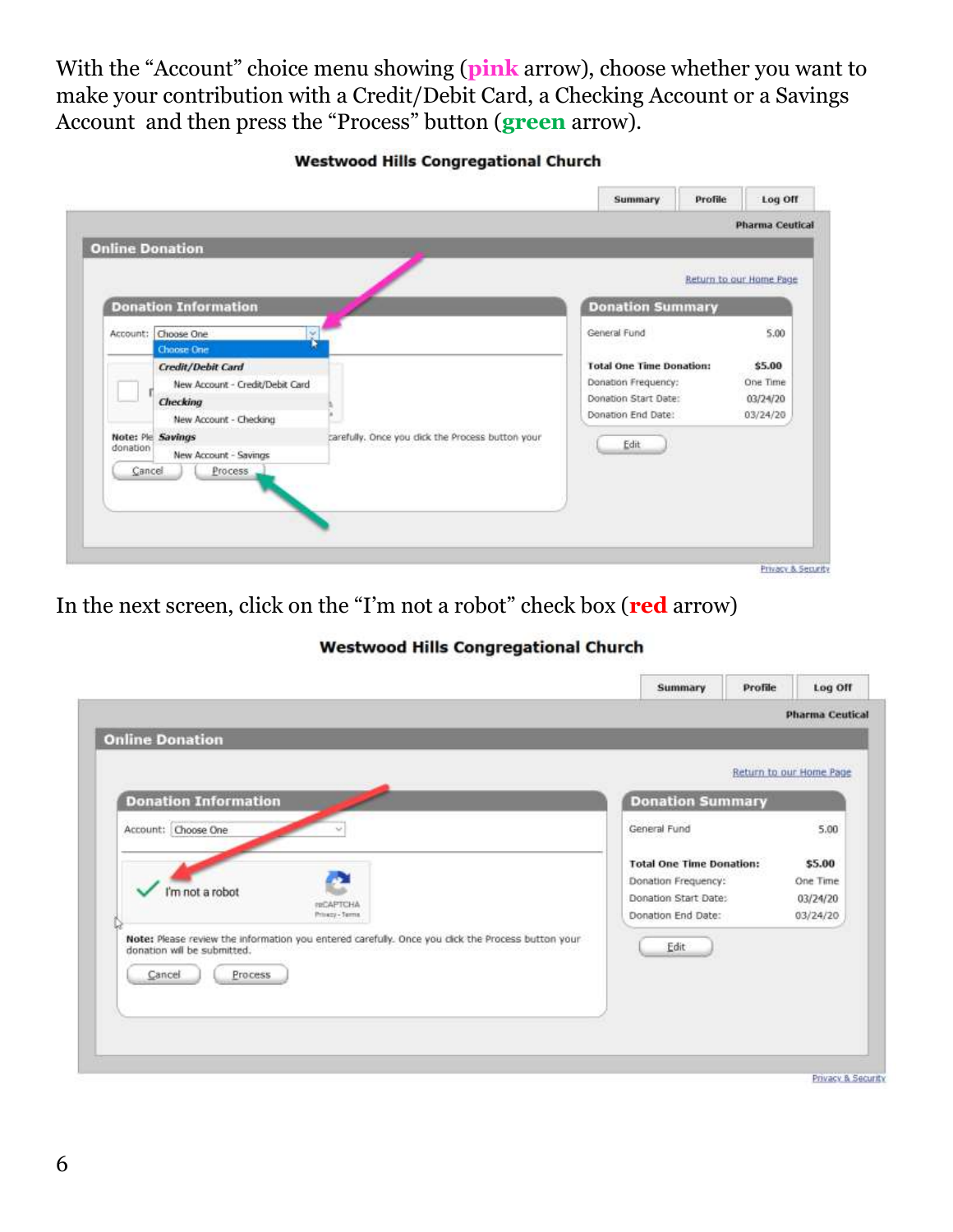With the "Account" choice menu showing (**pink** arrow), choose whether you want to make your contribution with a Credit/Debit Card, a Checking Account or a Savings Account and then press the "Process" button (**green** arrow).

**Westwood Hills Congregational Church** 

|                                         |                                                                                                   |                                                  |                                                                                                      | Return to our Home Page                    |
|-----------------------------------------|---------------------------------------------------------------------------------------------------|--------------------------------------------------|------------------------------------------------------------------------------------------------------|--------------------------------------------|
|                                         | <b>Donation Information</b>                                                                       |                                                  | <b>Donation Summary</b>                                                                              |                                            |
|                                         | Account: Choose One<br>ŵ<br>Choose One                                                            |                                                  | General Fund                                                                                         | 5.00                                       |
|                                         | Credit/Debit Card<br>New Account - Credit/Debit Card<br><b>Checking</b><br>New Account - Checking |                                                  | <b>Total One Time Donation:</b><br>Donation Frequency:<br>Donation Start Date:<br>Donation End Date: | \$5.00<br>One Time<br>03/24/20<br>03/24/20 |
| Note: Ple Savings<br>donation<br>Cancel | New Account - Savings<br>Process                                                                  | carefully. Once you dick the Process button your | Edit                                                                                                 |                                            |

In the next screen, click on the "I'm not a robot" check box (**red** arrow)

#### **Westwood Hills Congregational Church**

| <b>Online Donation</b>                                                                                                                                |                                 |                           |
|-------------------------------------------------------------------------------------------------------------------------------------------------------|---------------------------------|---------------------------|
|                                                                                                                                                       |                                 | Return to our Home Page   |
| <b>Donation Information</b>                                                                                                                           | <b>Donation Summary</b>         |                           |
| Account: Choose One                                                                                                                                   | General Fund                    | <b>CONTRACTOR</b><br>5.00 |
|                                                                                                                                                       | <b>Total One Time Donation:</b> | \$5.00                    |
|                                                                                                                                                       | Donation Frequency:             | One Time                  |
| I'm not a robot<br>PROAPTCHA                                                                                                                          | Donation Start Date:            | 03/24/20                  |
| Privacy - Terms                                                                                                                                       | Donation End Date:              | 03/24/20                  |
| Note: Please review the information you entered carefully. Once you click the Process button your<br>donation will be submitted.<br>Cancel<br>Process | Edit                            |                           |

Privacy & Security

#### 6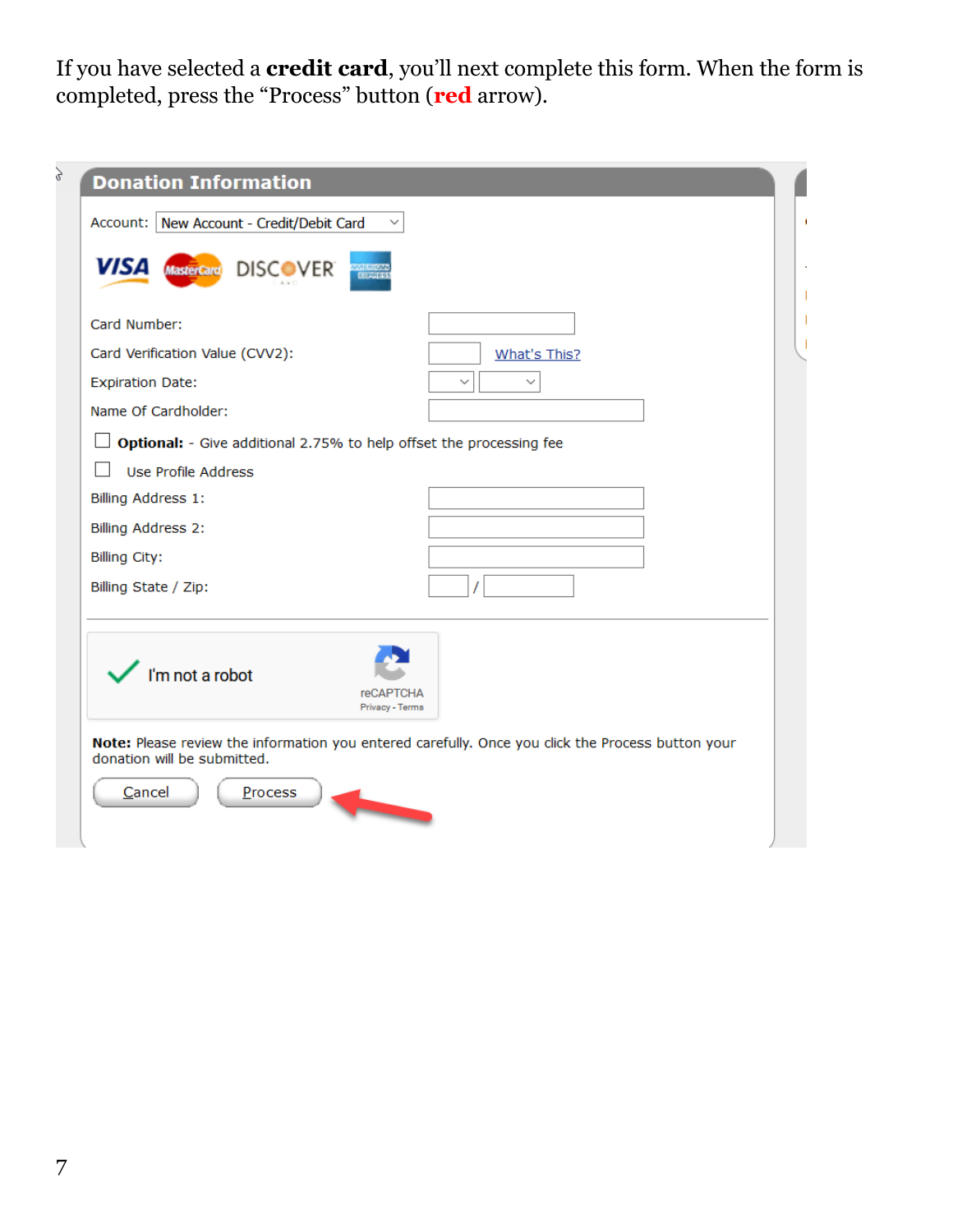If you have selected a **credit card**, you'll next complete this form. When the form is completed, press the "Process" button (**red** arrow).

| <b>Donation Information</b>              |                                                                                                                                                                                                                                      |
|------------------------------------------|--------------------------------------------------------------------------------------------------------------------------------------------------------------------------------------------------------------------------------------|
| Account: New Account - Credit/Debit Card |                                                                                                                                                                                                                                      |
| <b>VISA</b> MasterCard DISCOVER          | evaluations<br>Register                                                                                                                                                                                                              |
| Card Number:                             |                                                                                                                                                                                                                                      |
| Card Verification Value (CVV2):          | What's This?                                                                                                                                                                                                                         |
| <b>Expiration Date:</b>                  | $\checkmark$<br>$\checkmark$                                                                                                                                                                                                         |
| Name Of Cardholder:                      |                                                                                                                                                                                                                                      |
|                                          | Optional: - Give additional 2.75% to help offset the processing fee                                                                                                                                                                  |
| Use Profile Address                      |                                                                                                                                                                                                                                      |
| Billing Address 1:                       |                                                                                                                                                                                                                                      |
| Billing Address 2:                       |                                                                                                                                                                                                                                      |
| <b>Billing City:</b>                     |                                                                                                                                                                                                                                      |
| Billing State / Zip:                     |                                                                                                                                                                                                                                      |
| I'm not a robot                          | <b>reCAPTCHA</b><br>Privacy - Terms                                                                                                                                                                                                  |
|                                          | Note: Please review the information you entered carefully. Once you click the Process button your                                                                                                                                    |
| donation will be submitted.              |                                                                                                                                                                                                                                      |
| Cancel<br>Process                        |                                                                                                                                                                                                                                      |
|                                          | <b>The Contract of Contract of The Contract of The Contract of The Contract of The Contract of The Contract of The Contract of The Contract of The Contract of The Contract of The Contract of The Contract of The Contract of T</b> |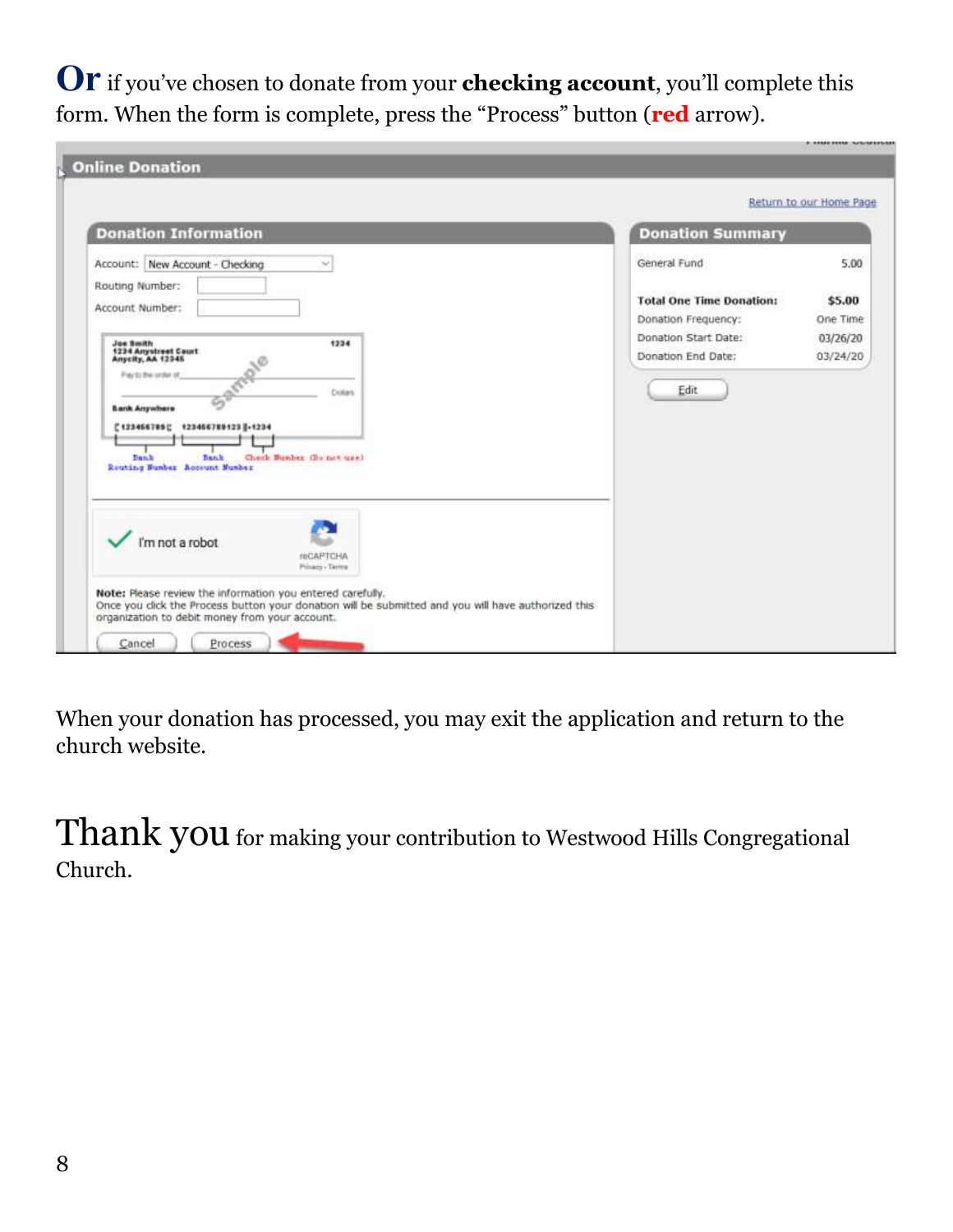**Or** if you've chosen to donate from your **checking account**, you'll complete this form. When the form is complete, press the "Process" button (**red** arrow).

| <b>Donation Information</b>                                                                                                                                     | <b>Donation Summary</b>                    |                      |
|-----------------------------------------------------------------------------------------------------------------------------------------------------------------|--------------------------------------------|----------------------|
| Account: New Account - Checking<br>ŵ                                                                                                                            | General Fund                               | 5.00                 |
| Routing Number:<br>Account Number:                                                                                                                              | <b>Total One Time Donation:</b>            | \$5.00               |
|                                                                                                                                                                 | Donation Frequency:                        | One Time             |
| <b>Joe Smith</b><br>1234<br>1234 Anystreet Court<br>Anycity, AA 12345                                                                                           | Donation Start Date:<br>Donation End Date: | 03/26/20<br>03/24/20 |
| <b>Dollars</b><br><b>Bank Anywhere</b><br>['123466789] 123466789123  -1234<br><b>Dank</b><br>Bank<br>Check Bunber (Do not use)<br>Reuting Number Account Number | Edit                                       |                      |
| I'm not a robot<br>reCAPTCHA<br>Prinary - Terms                                                                                                                 |                                            |                      |

When your donation has processed, you may exit the application and return to the church website.

Thank you for making your contribution to Westwood Hills Congregational Church.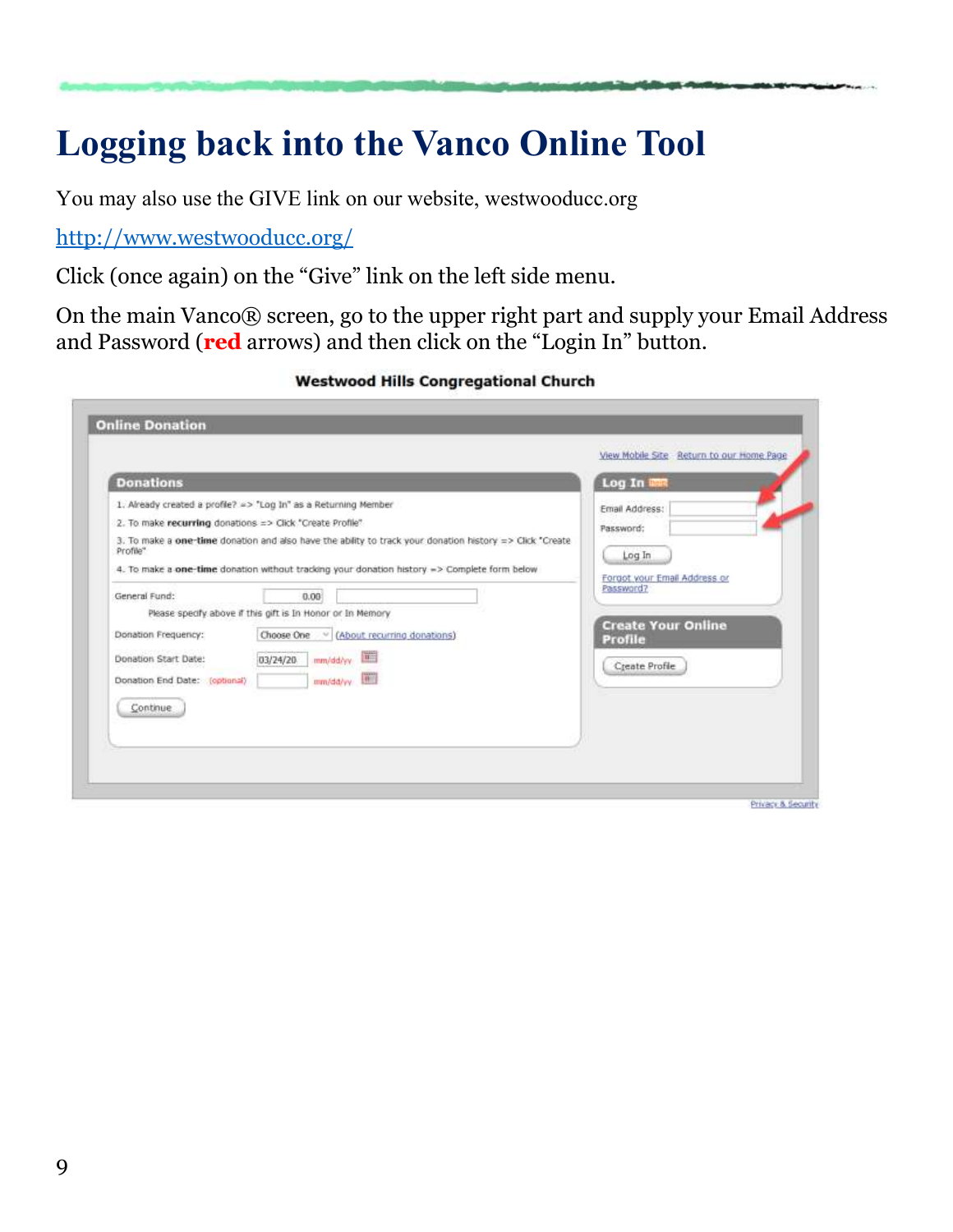### **Logging back into the Vanco Online Tool**

You may also use the GIVE link on our website, westwooducc.org

<http://www.westwooducc.org/>

Click (once again) on the "Give" link on the left side menu.

On the main Vanco® screen, go to the upper right part and supply your Email Address and Password (**red** arrows) and then click on the "Login In" button.

**Westwood Hills Congregational Church** 

| <b>Donations</b>                                                                                          |                                                                                                                                                                                                                                                                             | Log In inn                                                            |
|-----------------------------------------------------------------------------------------------------------|-----------------------------------------------------------------------------------------------------------------------------------------------------------------------------------------------------------------------------------------------------------------------------|-----------------------------------------------------------------------|
| 2. To make recurring donations => Click "Create Profile"<br>Profile"                                      | 1. Already created a profile? => "Log In" as a Returning Member<br>3. To make a one-time donation and also have the ability to track your donation history => Click "Create<br>4. To make a one-time donation without tradiing your donation history => Complete form below | Email Address:<br>Password:<br>Log In<br>Forgot your Email Address or |
| General Fund:<br>Donation Frequency:<br>Donation Start Date:<br>Donation End Date: (optional)<br>Continue | 0.00<br>Please specify above if this gift is In Honor or In Memory<br>Choose One v (About recurring donations)<br>mm/dd/yy [111]<br>03/24/20<br>mm/dd/yy [#]                                                                                                                | Password?<br><b>Create Your Online</b><br>Profile<br>Create Profile   |